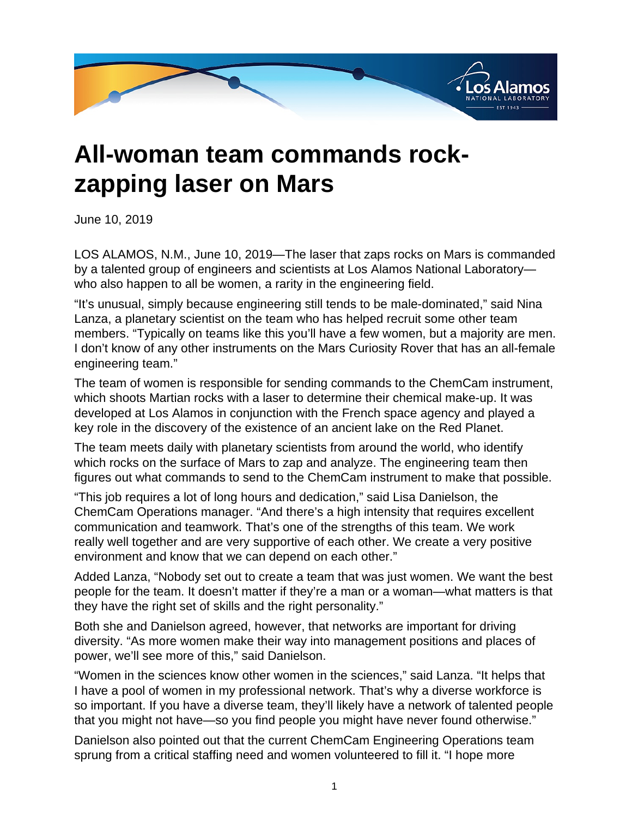

## **All-woman team commands rockzapping laser on Mars**

June 10, 2019

LOS ALAMOS, N.M., June 10, 2019—The laser that zaps rocks on Mars is commanded by a talented group of engineers and scientists at Los Alamos National Laboratory who also happen to all be women, a rarity in the engineering field.

"It's unusual, simply because engineering still tends to be male-dominated," said Nina Lanza, a planetary scientist on the team who has helped recruit some other team members. "Typically on teams like this you'll have a few women, but a majority are men. I don't know of any other instruments on the Mars Curiosity Rover that has an all-female engineering team."

The team of women is responsible for sending commands to the ChemCam instrument, which shoots Martian rocks with a laser to determine their chemical make-up. It was developed at Los Alamos in conjunction with the French space agency and played a key role in the discovery of the existence of an ancient lake on the Red Planet.

The team meets daily with planetary scientists from around the world, who identify which rocks on the surface of Mars to zap and analyze. The engineering team then figures out what commands to send to the ChemCam instrument to make that possible.

"This job requires a lot of long hours and dedication," said Lisa Danielson, the ChemCam Operations manager. "And there's a high intensity that requires excellent communication and teamwork. That's one of the strengths of this team. We work really well together and are very supportive of each other. We create a very positive environment and know that we can depend on each other."

Added Lanza, "Nobody set out to create a team that was just women. We want the best people for the team. It doesn't matter if they're a man or a woman—what matters is that they have the right set of skills and the right personality."

Both she and Danielson agreed, however, that networks are important for driving diversity. "As more women make their way into management positions and places of power, we'll see more of this," said Danielson.

"Women in the sciences know other women in the sciences," said Lanza. "It helps that I have a pool of women in my professional network. That's why a diverse workforce is so important. If you have a diverse team, they'll likely have a network of talented people that you might not have—so you find people you might have never found otherwise."

Danielson also pointed out that the current ChemCam Engineering Operations team sprung from a critical staffing need and women volunteered to fill it. "I hope more